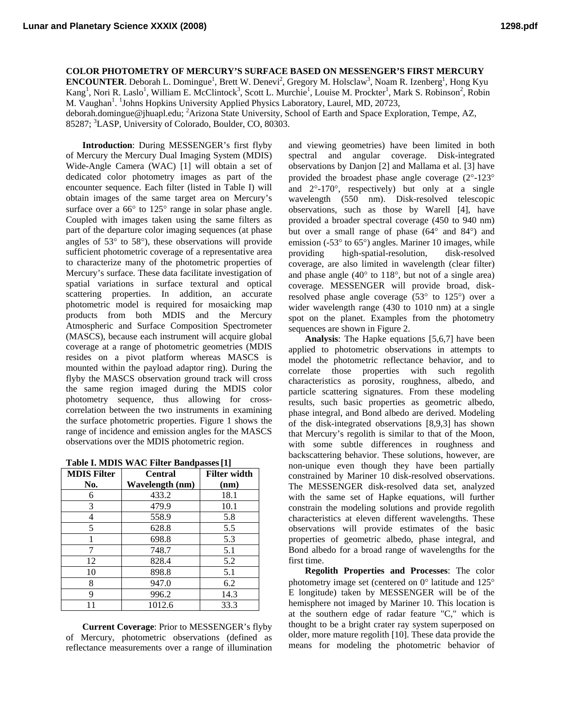**Lunar and Planetary Science XXXIX (2008) 1298.pdf**

**COLOR PHOTOMETRY OF MERCURY'S SURFACE BASED ON MESSENGER'S FIRST MERCURY** 

**ENCOUNTER**. Deborah L. Domingue<sup>1</sup>, Brett W. Denevi<sup>2</sup>, Gregory M. Holsclaw<sup>3</sup>, Noam R. Izenberg<sup>1</sup>, Hong Kyu Kang<sup>1</sup>, Nori R. Laslo<sup>1</sup>, William E. McClintock<sup>3</sup>, Scott L. Murchie<sup>1</sup>, Louise M. Prockter<sup>1</sup>, Mark S. Robinson<sup>2</sup>, Robin M. Vaughan<sup>1</sup>. <sup>1</sup>Johns Hopkins University Applied Physics Laboratory, Laurel, MD, 20723, deborah.domingue@jhuapl.edu; <sup>2</sup> Arizona State University, School of Earth and Space Exploration, Tempe, AZ,

85287; <sup>3</sup>LASP, University of Colorado, Boulder, CO, 80303.

**Introduction**: During MESSENGER's first flyby of Mercury the Mercury Dual Imaging System (MDIS) Wide-Angle Camera (WAC) [1] will obtain a set of dedicated color photometry images as part of the encounter sequence. Each filter (listed in Table I) will obtain images of the same target area on Mercury's surface over a 66 $\degree$  to 125 $\degree$  range in solar phase angle. Coupled with images taken using the same filters as part of the departure color imaging sequences (at phase angles of 53° to 58°), these observations will provide sufficient photometric coverage of a representative area to characterize many of the photometric properties of Mercury's surface. These data facilitate investigation of spatial variations in surface textural and optical scattering properties. In addition, an accurate photometric model is required for mosaicking map products from both MDIS and the Mercury Atmospheric and Surface Composition Spectrometer (MASCS), because each instrument will acquire global coverage at a range of photometric geometries (MDIS resides on a pivot platform whereas MASCS is mounted within the payload adaptor ring). During the flyby the MASCS observation ground track will cross the same region imaged during the MDIS color photometry sequence, thus allowing for crosscorrelation between the two instruments in examining the surface photometric properties. Figure 1 shows the range of incidence and emission angles for the MASCS observations over the MDIS photometric region.

|  |  | Table I. MDIS WAC Filter Bandpasses [1] |
|--|--|-----------------------------------------|
|--|--|-----------------------------------------|

| <b>MDIS Filter</b> | <b>Central</b>  | <b>Filter width</b> |
|--------------------|-----------------|---------------------|
| No.                | Wavelength (nm) | (nm)                |
| 6                  | 433.2           | 18.1                |
| 3                  | 479.9           | 10.1                |
| 4                  | 558.9           | 5.8                 |
| 5                  | 628.8           | 5.5                 |
|                    | 698.8           | 5.3                 |
|                    | 748.7           | 5.1                 |
| 12                 | 828.4           | 5.2                 |
| 10                 | 898.8           | 5.1                 |
| 8                  | 947.0           | 6.2                 |
| 9                  | 996.2           | 14.3                |
|                    | 1012.6          | 33.3                |

**Current Coverage**: Prior to MESSENGER's flyby of Mercury, photometric observations (defined as reflectance measurements over a range of illumination

and viewing geometries) have been limited in both spectral and angular coverage. Disk-integrated observations by Danjon [2] and Mallama et al. [3] have provided the broadest phase angle coverage (2°-123° and 2°-170°, respectively) but only at a single wavelength (550 nm). Disk-resolved telescopic observations, such as those by Warell [4], have provided a broader spectral coverage (450 to 940 nm) but over a small range of phase (64° and 84°) and emission (-53° to 65°) angles. Mariner 10 images, while providing high-spatial-resolution, disk-resolved coverage, are also limited in wavelength (clear filter) and phase angle (40° to 118°, but not of a single area) coverage. MESSENGER will provide broad, diskresolved phase angle coverage (53° to 125°) over a wider wavelength range (430 to 1010 nm) at a single spot on the planet. Examples from the photometry sequences are shown in Figure 2.

**Analysis**: The Hapke equations [5,6,7] have been applied to photometric observations in attempts to model the photometric reflectance behavior, and to correlate those properties with such regolith characteristics as porosity, roughness, albedo, and particle scattering signatures. From these modeling results, such basic properties as geometric albedo, phase integral, and Bond albedo are derived. Modeling of the disk-integrated observations [8,9,3] has shown that Mercury's regolith is similar to that of the Moon, with some subtle differences in roughness and backscattering behavior. These solutions, however, are non-unique even though they have been partially constrained by Mariner 10 disk-resolved observations. The MESSENGER disk-resolved data set, analyzed with the same set of Hapke equations, will further constrain the modeling solutions and provide regolith characteristics at eleven different wavelengths. These observations will provide estimates of the basic properties of geometric albedo, phase integral, and Bond albedo for a broad range of wavelengths for the first time.

**Regolith Properties and Processes**: The color photometry image set (centered on 0° latitude and 125° E longitude) taken by MESSENGER will be of the hemisphere not imaged by Mariner 10. This location is at the southern edge of radar feature "C," which is thought to be a bright crater ray system superposed on older, more mature regolith [10]. These data provide the means for modeling the photometric behavior of